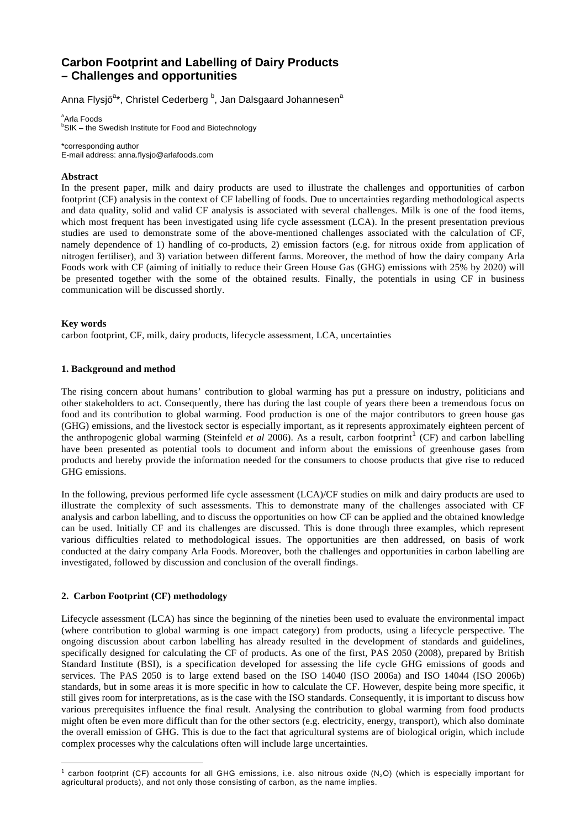# **Carbon Footprint and Labelling of Dairy Products**  *–* **Challenges and opportunities**

Anna Flysjö<sup>a</sup>\*, Christel Cederberg <sup>b</sup>, Jan Dalsgaard Johannesen<sup>a</sup>

<sup>a</sup>Arla Foods <sup>b</sup>SIK – the Swedish Institute for Food and Biotechnology

\*corresponding author E-mail address: anna.flysjo@arlafoods.com

### **Abstract**

In the present paper, milk and dairy products are used to illustrate the challenges and opportunities of carbon footprint (CF) analysis in the context of CF labelling of foods. Due to uncertainties regarding methodological aspects and data quality, solid and valid CF analysis is associated with several challenges. Milk is one of the food items, which most frequent has been investigated using life cycle assessment (LCA). In the present presentation previous studies are used to demonstrate some of the above-mentioned challenges associated with the calculation of CF, namely dependence of 1) handling of co-products, 2) emission factors (e.g. for nitrous oxide from application of nitrogen fertiliser), and 3) variation between different farms. Moreover, the method of how the dairy company Arla Foods work with CF (aiming of initially to reduce their Green House Gas (GHG) emissions with 25% by 2020) will be presented together with the some of the obtained results. Finally, the potentials in using CF in business communication will be discussed shortly.

#### **Key words**

 $\overline{a}$ 

carbon footprint, CF, milk, dairy products, lifecycle assessment, LCA, uncertainties

# **1. Background and method**

The rising concern about humans' contribution to global warming has put a pressure on industry, politicians and other stakeholders to act. Consequently, there has during the last couple of years there been a tremendous focus on food and its contribution to global warming. Food production is one of the major contributors to green house gas (GHG) emissions, and the livestock sector is especially important, as it represents approximately eighteen percent of the anthropogenic global warming (Steinfeld *et al* 2006). As a result, carbon footprint<sup>1</sup> (CF) and carbon labelling have been presented as potential tools to document and inform about the emissions of greenhouse gases from products and hereby provide the information needed for the consumers to choose products that give rise to reduced GHG emissions.

In the following, previous performed life cycle assessment (LCA)/CF studies on milk and dairy products are used to illustrate the complexity of such assessments. This to demonstrate many of the challenges associated with CF analysis and carbon labelling, and to discuss the opportunities on how CF can be applied and the obtained knowledge can be used. Initially CF and its challenges are discussed. This is done through three examples, which represent various difficulties related to methodological issues. The opportunities are then addressed, on basis of work conducted at the dairy company Arla Foods. Moreover, both the challenges and opportunities in carbon labelling are investigated, followed by discussion and conclusion of the overall findings.

# **2. Carbon Footprint (CF) methodology**

Lifecycle assessment (LCA) has since the beginning of the nineties been used to evaluate the environmental impact (where contribution to global warming is one impact category) from products, using a lifecycle perspective. The ongoing discussion about carbon labelling has already resulted in the development of standards and guidelines, specifically designed for calculating the CF of products. As one of the first, PAS 2050 (2008), prepared by British Standard Institute (BSI), is a specification developed for assessing the life cycle GHG emissions of goods and services. The PAS 2050 is to large extend based on the ISO 14040 (ISO 2006a) and ISO 14044 (ISO 2006b) standards, but in some areas it is more specific in how to calculate the CF. However, despite being more specific, it still gives room for interpretations, as is the case with the ISO standards. Consequently, it is important to discuss how various prerequisites influence the final result. Analysing the contribution to global warming from food products might often be even more difficult than for the other sectors (e.g. electricity, energy, transport), which also dominate the overall emission of GHG. This is due to the fact that agricultural systems are of biological origin, which include complex processes why the calculations often will include large uncertainties.

<sup>&</sup>lt;sup>1</sup> carbon footprint (CF) accounts for all GHG emissions, i.e. also nitrous oxide (N<sub>2</sub>O) (which is especially important for agricultural products), and not only those consisting of carbon, as the name implies.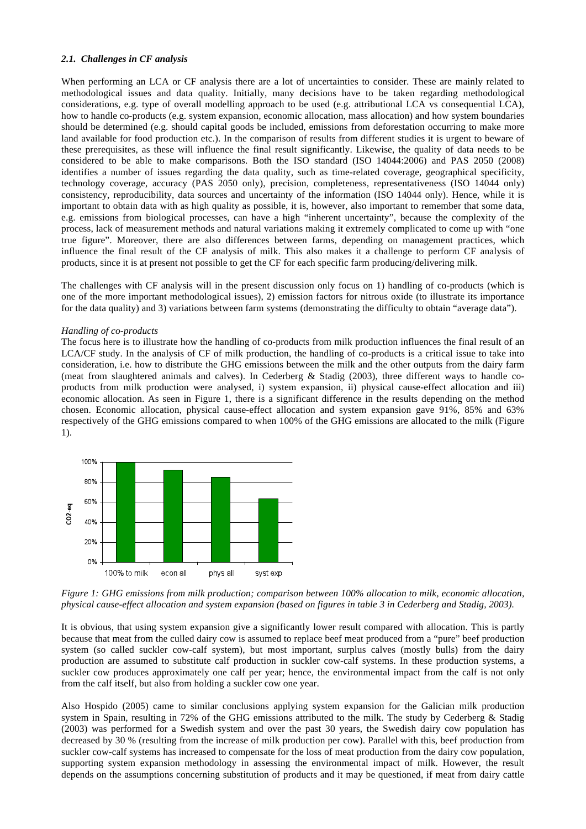# *2.1. Challenges in CF analysis*

When performing an LCA or CF analysis there are a lot of uncertainties to consider. These are mainly related to methodological issues and data quality. Initially, many decisions have to be taken regarding methodological considerations, e.g. type of overall modelling approach to be used (e.g. attributional LCA vs consequential LCA), how to handle co-products (e.g. system expansion, economic allocation, mass allocation) and how system boundaries should be determined (e.g. should capital goods be included, emissions from deforestation occurring to make more land available for food production etc.). In the comparison of results from different studies it is urgent to beware of these prerequisites, as these will influence the final result significantly. Likewise, the quality of data needs to be considered to be able to make comparisons. Both the ISO standard (ISO 14044:2006) and PAS 2050 (2008) identifies a number of issues regarding the data quality, such as time-related coverage, geographical specificity, technology coverage, accuracy (PAS 2050 only), precision, completeness, representativeness (ISO 14044 only) consistency, reproducibility, data sources and uncertainty of the information (ISO 14044 only). Hence, while it is important to obtain data with as high quality as possible, it is, however, also important to remember that some data, e.g. emissions from biological processes, can have a high "inherent uncertainty", because the complexity of the process, lack of measurement methods and natural variations making it extremely complicated to come up with "one true figure". Moreover, there are also differences between farms, depending on management practices, which influence the final result of the CF analysis of milk. This also makes it a challenge to perform CF analysis of products, since it is at present not possible to get the CF for each specific farm producing/delivering milk.

The challenges with CF analysis will in the present discussion only focus on 1) handling of co-products (which is one of the more important methodological issues), 2) emission factors for nitrous oxide (to illustrate its importance for the data quality) and 3) variations between farm systems (demonstrating the difficulty to obtain "average data").

#### *Handling of co-products*

The focus here is to illustrate how the handling of co-products from milk production influences the final result of an LCA/CF study. In the analysis of CF of milk production, the handling of co-products is a critical issue to take into consideration, i.e. how to distribute the GHG emissions between the milk and the other outputs from the dairy farm (meat from slaughtered animals and calves). In Cederberg & Stadig (2003), three different ways to handle coproducts from milk production were analysed, i) system expansion, ii) physical cause-effect allocation and iii) economic allocation. As seen in Figure 1, there is a significant difference in the results depending on the method chosen. Economic allocation, physical cause-effect allocation and system expansion gave 91%, 85% and 63% respectively of the GHG emissions compared to when 100% of the GHG emissions are allocated to the milk (Figure 1).



*Figure 1: GHG emissions from milk production; comparison between 100% allocation to milk, economic allocation, physical cause-effect allocation and system expansion (based on figures in table 3 in Cederberg and Stadig, 2003).* 

It is obvious, that using system expansion give a significantly lower result compared with allocation. This is partly because that meat from the culled dairy cow is assumed to replace beef meat produced from a "pure" beef production system (so called suckler cow-calf system), but most important, surplus calves (mostly bulls) from the dairy production are assumed to substitute calf production in suckler cow-calf systems. In these production systems, a suckler cow produces approximately one calf per year; hence, the environmental impact from the calf is not only from the calf itself, but also from holding a suckler cow one year.

Also Hospido (2005) came to similar conclusions applying system expansion for the Galician milk production system in Spain, resulting in 72% of the GHG emissions attributed to the milk. The study by Cederberg & Stadig (2003) was performed for a Swedish system and over the past 30 years, the Swedish dairy cow population has decreased by 30 % (resulting from the increase of milk production per cow). Parallel with this, beef production from suckler cow-calf systems has increased to compensate for the loss of meat production from the dairy cow population, supporting system expansion methodology in assessing the environmental impact of milk. However, the result depends on the assumptions concerning substitution of products and it may be questioned, if meat from dairy cattle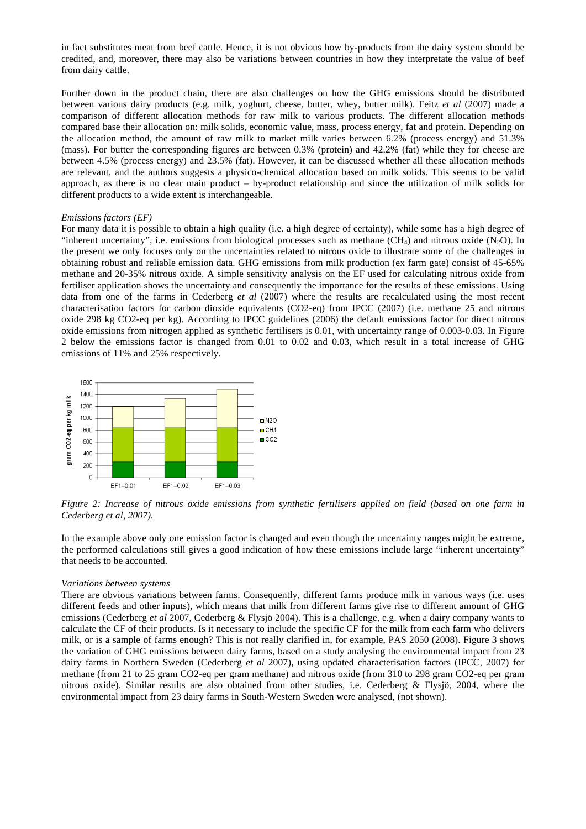in fact substitutes meat from beef cattle. Hence, it is not obvious how by-products from the dairy system should be credited, and, moreover, there may also be variations between countries in how they interpretate the value of beef from dairy cattle.

Further down in the product chain, there are also challenges on how the GHG emissions should be distributed between various dairy products (e.g. milk, yoghurt, cheese, butter, whey, butter milk). Feitz *et al* (2007) made a comparison of different allocation methods for raw milk to various products. The different allocation methods compared base their allocation on: milk solids, economic value, mass, process energy, fat and protein. Depending on the allocation method, the amount of raw milk to market milk varies between 6.2% (process energy) and 51.3% (mass). For butter the corresponding figures are between 0.3% (protein) and 42.2% (fat) while they for cheese are between 4.5% (process energy) and 23.5% (fat). However, it can be discussed whether all these allocation methods are relevant, and the authors suggests a physico-chemical allocation based on milk solids. This seems to be valid approach, as there is no clear main product – by-product relationship and since the utilization of milk solids for different products to a wide extent is interchangeable.

#### *Emissions factors (EF)*

For many data it is possible to obtain a high quality (i.e. a high degree of certainty), while some has a high degree of "inherent uncertainty", i.e. emissions from biological processes such as methane  $(CH_4)$  and nitrous oxide (N<sub>2</sub>O). In the present we only focuses only on the uncertainties related to nitrous oxide to illustrate some of the challenges in obtaining robust and reliable emission data. GHG emissions from milk production (ex farm gate) consist of 45-65% methane and 20-35% nitrous oxide. A simple sensitivity analysis on the EF used for calculating nitrous oxide from fertiliser application shows the uncertainty and consequently the importance for the results of these emissions. Using data from one of the farms in Cederberg *et al* (2007) where the results are recalculated using the most recent characterisation factors for carbon dioxide equivalents (CO2-eq) from IPCC (2007) (i.e. methane 25 and nitrous oxide 298 kg CO2-eq per kg). According to IPCC guidelines (2006) the default emissions factor for direct nitrous oxide emissions from nitrogen applied as synthetic fertilisers is 0.01, with uncertainty range of 0.003-0.03. In Figure 2 below the emissions factor is changed from 0.01 to 0.02 and 0.03, which result in a total increase of GHG emissions of 11% and 25% respectively.



*Figure 2: Increase of nitrous oxide emissions from synthetic fertilisers applied on field (based on one farm in Cederberg et al, 2007).* 

In the example above only one emission factor is changed and even though the uncertainty ranges might be extreme, the performed calculations still gives a good indication of how these emissions include large "inherent uncertainty" that needs to be accounted.

#### *Variations between systems*

There are obvious variations between farms. Consequently, different farms produce milk in various ways (i.e. uses different feeds and other inputs), which means that milk from different farms give rise to different amount of GHG emissions (Cederberg *et al* 2007, Cederberg & Flysjö 2004). This is a challenge, e.g. when a dairy company wants to calculate the CF of their products. Is it necessary to include the specific CF for the milk from each farm who delivers milk, or is a sample of farms enough? This is not really clarified in, for example, PAS 2050 (2008). Figure 3 shows the variation of GHG emissions between dairy farms, based on a study analysing the environmental impact from 23 dairy farms in Northern Sweden (Cederberg *et al* 2007), using updated characterisation factors (IPCC, 2007) for methane (from 21 to 25 gram CO2-eq per gram methane) and nitrous oxide (from 310 to 298 gram CO2-eq per gram nitrous oxide). Similar results are also obtained from other studies, i.e. Cederberg & Flysjö, 2004, where the environmental impact from 23 dairy farms in South-Western Sweden were analysed, (not shown).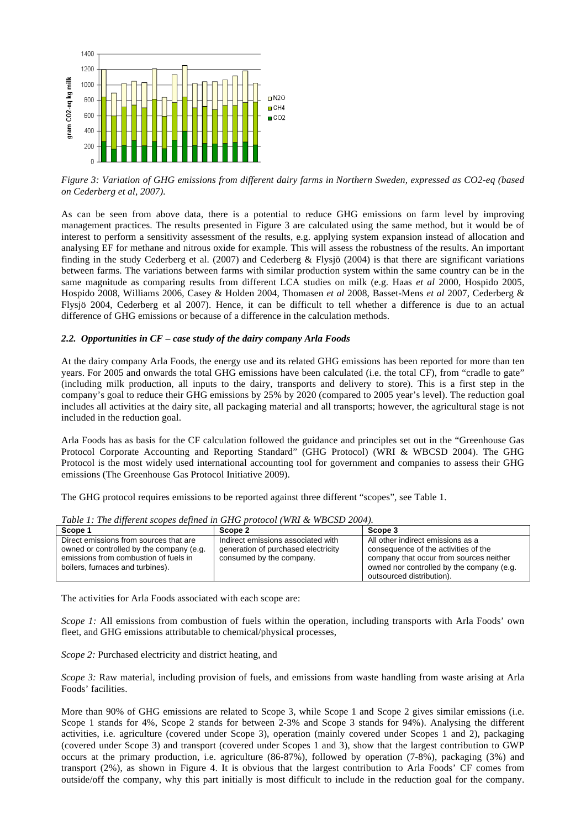

*Figure 3: Variation of GHG emissions from different dairy farms in Northern Sweden, expressed as CO2-eq (based on Cederberg et al, 2007).* 

As can be seen from above data, there is a potential to reduce GHG emissions on farm level by improving management practices. The results presented in Figure 3 are calculated using the same method, but it would be of interest to perform a sensitivity assessment of the results, e.g. applying system expansion instead of allocation and analysing EF for methane and nitrous oxide for example. This will assess the robustness of the results. An important finding in the study Cederberg et al. (2007) and Cederberg & Flysjö (2004) is that there are significant variations between farms. The variations between farms with similar production system within the same country can be in the same magnitude as comparing results from different LCA studies on milk (e.g. Haas *et al* 2000, Hospido 2005, Hospido 2008, Williams 2006, Casey & Holden 2004, Thomasen *et al* 2008, Basset-Mens *et al* 2007, Cederberg & Flysjö 2004, Cederberg et al 2007). Hence, it can be difficult to tell whether a difference is due to an actual difference of GHG emissions or because of a difference in the calculation methods.

# *2.2. Opportunities in CF – case study of the dairy company Arla Foods*

At the dairy company Arla Foods, the energy use and its related GHG emissions has been reported for more than ten years. For 2005 and onwards the total GHG emissions have been calculated (i.e. the total CF), from "cradle to gate" (including milk production, all inputs to the dairy, transports and delivery to store). This is a first step in the company's goal to reduce their GHG emissions by 25% by 2020 (compared to 2005 year's level). The reduction goal includes all activities at the dairy site, all packaging material and all transports; however, the agricultural stage is not included in the reduction goal.

Arla Foods has as basis for the CF calculation followed the guidance and principles set out in the "Greenhouse Gas Protocol Corporate Accounting and Reporting Standard" (GHG Protocol) (WRI & WBCSD 2004). The GHG Protocol is the most widely used international accounting tool for government and companies to assess their GHG emissions (The Greenhouse Gas Protocol Initiative 2009).

The GHG protocol requires emissions to be reported against three different "scopes", see Table 1.

| Scope 1                                                                                                                                                         | Scope 2                                                                                               | Scope 3                                                                                                                                                                                        |
|-----------------------------------------------------------------------------------------------------------------------------------------------------------------|-------------------------------------------------------------------------------------------------------|------------------------------------------------------------------------------------------------------------------------------------------------------------------------------------------------|
| Direct emissions from sources that are<br>owned or controlled by the company (e.g.<br>emissions from combustion of fuels in<br>boilers, furnaces and turbines). | Indirect emissions associated with<br>generation of purchased electricity<br>consumed by the company. | All other indirect emissions as a<br>consequence of the activities of the<br>company that occur from sources neither<br>owned nor controlled by the company (e.g.<br>outsourced distribution). |

*Table 1: The different scopes defined in GHG protocol (WRI & WBCSD 2004).* 

The activities for Arla Foods associated with each scope are:

*Scope 1:* All emissions from combustion of fuels within the operation, including transports with Arla Foods' own fleet, and GHG emissions attributable to chemical/physical processes,

*Scope 2:* Purchased electricity and district heating, and

*Scope 3:* Raw material, including provision of fuels, and emissions from waste handling from waste arising at Arla Foods' facilities.

More than 90% of GHG emissions are related to Scope 3, while Scope 1 and Scope 2 gives similar emissions (i.e. Scope 1 stands for 4%, Scope 2 stands for between 2-3% and Scope 3 stands for 94%). Analysing the different activities, i.e. agriculture (covered under Scope 3), operation (mainly covered under Scopes 1 and 2), packaging (covered under Scope 3) and transport (covered under Scopes 1 and 3), show that the largest contribution to GWP occurs at the primary production, i.e. agriculture (86-87%), followed by operation (7-8%), packaging (3%) and transport (2%), as shown in Figure 4. It is obvious that the largest contribution to Arla Foods' CF comes from outside/off the company, why this part initially is most difficult to include in the reduction goal for the company.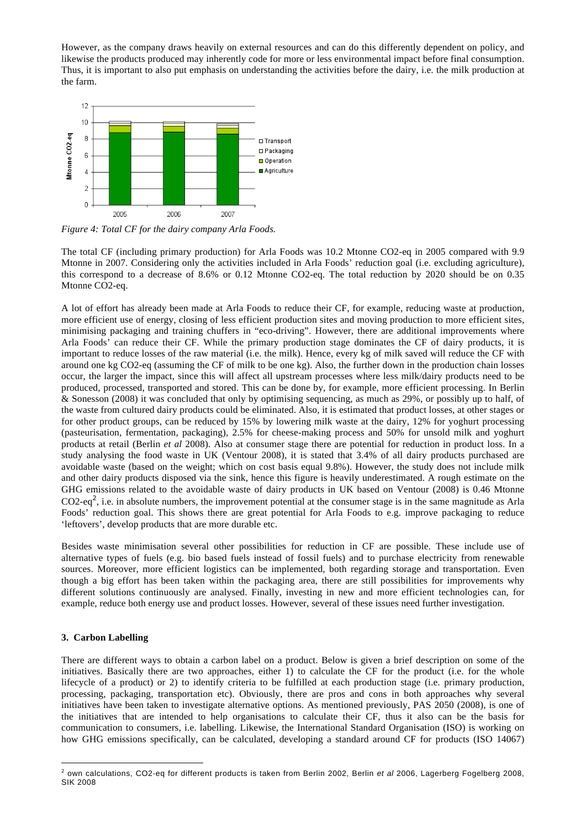However, as the company draws heavily on external resources and can do this differently dependent on policy, and likewise the products produced may inherently code for more or less environmental impact before final consumption. Thus, it is important to also put emphasis on understanding the activities before the dairy, i.e. the milk production at the farm.



*Figure 4: Total CF for the dairy company Arla Foods.* 

The total CF (including primary production) for Arla Foods was 10.2 Mtonne CO2-eq in 2005 compared with 9.9 Mtonne in 2007. Considering only the activities included in Arla Foods' reduction goal (i.e. excluding agriculture), this correspond to a decrease of 8.6% or 0.12 Mtonne CO2-eq. The total reduction by 2020 should be on 0.35 Mtonne CO2-eq.

A lot of effort has already been made at Arla Foods to reduce their CF, for example, reducing waste at production, more efficient use of energy, closing of less efficient production sites and moving production to more efficient sites, minimising packaging and training chuffers in "eco-driving". However, there are additional improvements where Arla Foods' can reduce their CF. While the primary production stage dominates the CF of dairy products, it is important to reduce losses of the raw material (i.e. the milk). Hence, every kg of milk saved will reduce the CF with around one kg CO2-eq (assuming the CF of milk to be one kg). Also, the further down in the production chain losses occur, the larger the impact, since this will affect all upstream processes where less milk/dairy products need to be produced, processed, transported and stored. This can be done by, for example, more efficient processing. In Berlin & Sonesson (2008) it was concluded that only by optimising sequencing, as much as 29%, or possibly up to half, of the waste from cultured dairy products could be eliminated. Also, it is estimated that product losses, at other stages or for other product groups, can be reduced by 15% by lowering milk waste at the dairy, 12% for yoghurt processing (pasteurisation, fermentation, packaging), 2.5% for cheese-making process and 50% for unsold milk and yoghurt products at retail (Berlin *et al* 2008). Also at consumer stage there are potential for reduction in product loss. In a study analysing the food waste in UK (Ventour 2008), it is stated that 3.4% of all dairy products purchased are avoidable waste (based on the weight; which on cost basis equal 9.8%). However, the study does not include milk and other dairy products disposed via the sink, hence this figure is heavily underestimated. A rough estimate on the GHG emissions related to the avoidable waste of dairy products in UK based on Ventour (2008) is 0.46 Mtonne  $CO2$ -eq<sup>2</sup>, i.e. in absolute numbers, the improvement potential at the consumer stage is in the same magnitude as Arla Foods' reduction goal. This shows there are great potential for Arla Foods to e.g. improve packaging to reduce 'leftovers', develop products that are more durable etc.

Besides waste minimisation several other possibilities for reduction in CF are possible. These include use of alternative types of fuels (e.g. bio based fuels instead of fossil fuels) and to purchase electricity from renewable sources. Moreover, more efficient logistics can be implemented, both regarding storage and transportation. Even though a big effort has been taken within the packaging area, there are still possibilities for improvements why different solutions continuously are analysed. Finally, investing in new and more efficient technologies can, for example, reduce both energy use and product losses. However, several of these issues need further investigation.

# **3. Carbon Labelling**

 $\overline{a}$ 

There are different ways to obtain a carbon label on a product. Below is given a brief description on some of the initiatives. Basically there are two approaches, either 1) to calculate the CF for the product (i.e. for the whole lifecycle of a product) or 2) to identify criteria to be fulfilled at each production stage (i.e. primary production, processing, packaging, transportation etc). Obviously, there are pros and cons in both approaches why several initiatives have been taken to investigate alternative options. As mentioned previously, PAS 2050 (2008), is one of the initiatives that are intended to help organisations to calculate their CF, thus it also can be the basis for communication to consumers, i.e. labelling. Likewise, the International Standard Organisation (ISO) is working on how GHG emissions specifically, can be calculated, developing a standard around CF for products (ISO 14067)

<sup>2</sup> own calculations, CO2-eq for different products is taken from Berlin 2002, Berlin *et al* 2006, Lagerberg Fogelberg 2008, SIK 2008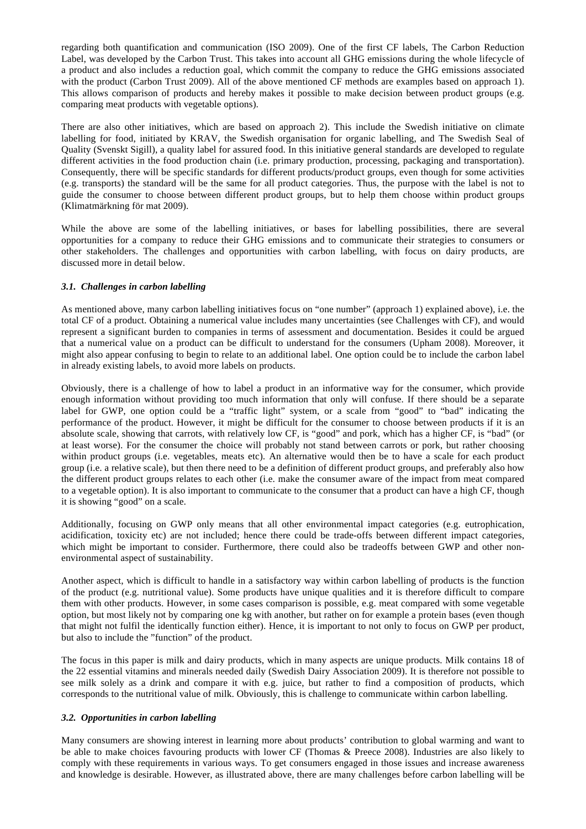regarding both quantification and communication (ISO 2009). One of the first CF labels, The Carbon Reduction Label, was developed by the Carbon Trust. This takes into account all GHG emissions during the whole lifecycle of a product and also includes a reduction goal, which commit the company to reduce the GHG emissions associated with the product (Carbon Trust 2009). All of the above mentioned CF methods are examples based on approach 1). This allows comparison of products and hereby makes it possible to make decision between product groups (e.g. comparing meat products with vegetable options).

There are also other initiatives, which are based on approach 2). This include the Swedish initiative on climate labelling for food, initiated by KRAV, the Swedish organisation for organic labelling, and The Swedish Seal of Quality (Svenskt Sigill), a quality label for assured food. In this initiative general standards are developed to regulate different activities in the food production chain (i.e. primary production, processing, packaging and transportation). Consequently, there will be specific standards for different products/product groups, even though for some activities (e.g. transports) the standard will be the same for all product categories. Thus, the purpose with the label is not to guide the consumer to choose between different product groups, but to help them choose within product groups (Klimatmärkning för mat 2009).

While the above are some of the labelling initiatives, or bases for labelling possibilities, there are several opportunities for a company to reduce their GHG emissions and to communicate their strategies to consumers or other stakeholders. The challenges and opportunities with carbon labelling, with focus on dairy products, are discussed more in detail below.

# *3.1. Challenges in carbon labelling*

As mentioned above, many carbon labelling initiatives focus on "one number" (approach 1) explained above), i.e. the total CF of a product. Obtaining a numerical value includes many uncertainties (see Challenges with CF), and would represent a significant burden to companies in terms of assessment and documentation. Besides it could be argued that a numerical value on a product can be difficult to understand for the consumers (Upham 2008). Moreover, it might also appear confusing to begin to relate to an additional label. One option could be to include the carbon label in already existing labels, to avoid more labels on products.

Obviously, there is a challenge of how to label a product in an informative way for the consumer, which provide enough information without providing too much information that only will confuse. If there should be a separate label for GWP, one option could be a "traffic light" system, or a scale from "good" to "bad" indicating the performance of the product. However, it might be difficult for the consumer to choose between products if it is an absolute scale, showing that carrots, with relatively low CF, is "good" and pork, which has a higher CF, is "bad" (or at least worse). For the consumer the choice will probably not stand between carrots or pork, but rather choosing within product groups (i.e. vegetables, meats etc). An alternative would then be to have a scale for each product group (i.e. a relative scale), but then there need to be a definition of different product groups, and preferably also how the different product groups relates to each other (i.e. make the consumer aware of the impact from meat compared to a vegetable option). It is also important to communicate to the consumer that a product can have a high CF, though it is showing "good" on a scale.

Additionally, focusing on GWP only means that all other environmental impact categories (e.g. eutrophication, acidification, toxicity etc) are not included; hence there could be trade-offs between different impact categories, which might be important to consider. Furthermore, there could also be tradeoffs between GWP and other nonenvironmental aspect of sustainability.

Another aspect, which is difficult to handle in a satisfactory way within carbon labelling of products is the function of the product (e.g. nutritional value). Some products have unique qualities and it is therefore difficult to compare them with other products. However, in some cases comparison is possible, e.g. meat compared with some vegetable option, but most likely not by comparing one kg with another, but rather on for example a protein bases (even though that might not fulfil the identically function either). Hence, it is important to not only to focus on GWP per product, but also to include the "function" of the product.

The focus in this paper is milk and dairy products, which in many aspects are unique products. Milk contains 18 of the 22 essential vitamins and minerals needed daily (Swedish Dairy Association 2009). It is therefore not possible to see milk solely as a drink and compare it with e.g. juice, but rather to find a composition of products, which corresponds to the nutritional value of milk. Obviously, this is challenge to communicate within carbon labelling.

# *3.2. Opportunities in carbon labelling*

Many consumers are showing interest in learning more about products' contribution to global warming and want to be able to make choices favouring products with lower CF (Thomas & Preece 2008). Industries are also likely to comply with these requirements in various ways. To get consumers engaged in those issues and increase awareness and knowledge is desirable. However, as illustrated above, there are many challenges before carbon labelling will be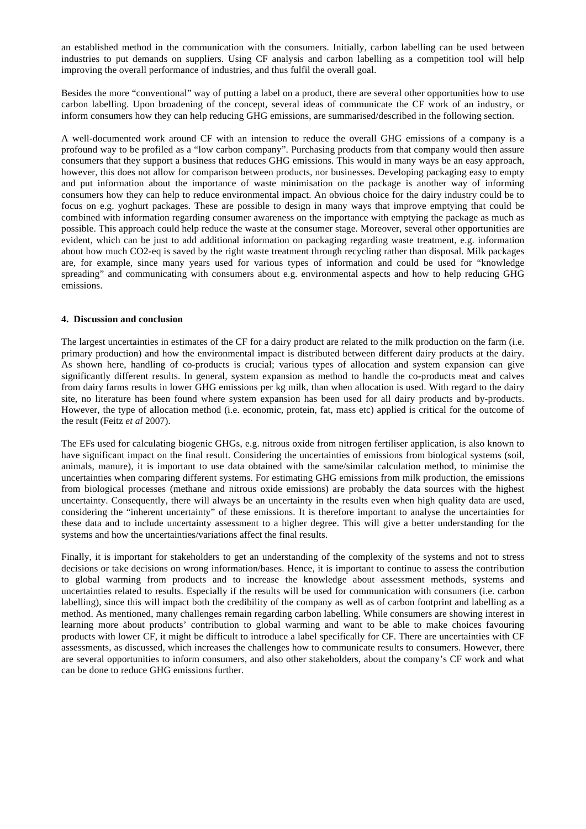an established method in the communication with the consumers. Initially, carbon labelling can be used between industries to put demands on suppliers. Using CF analysis and carbon labelling as a competition tool will help improving the overall performance of industries, and thus fulfil the overall goal.

Besides the more "conventional" way of putting a label on a product, there are several other opportunities how to use carbon labelling. Upon broadening of the concept, several ideas of communicate the CF work of an industry, or inform consumers how they can help reducing GHG emissions, are summarised/described in the following section.

A well-documented work around CF with an intension to reduce the overall GHG emissions of a company is a profound way to be profiled as a "low carbon company". Purchasing products from that company would then assure consumers that they support a business that reduces GHG emissions. This would in many ways be an easy approach, however, this does not allow for comparison between products, nor businesses. Developing packaging easy to empty and put information about the importance of waste minimisation on the package is another way of informing consumers how they can help to reduce environmental impact. An obvious choice for the dairy industry could be to focus on e.g. yoghurt packages. These are possible to design in many ways that improve emptying that could be combined with information regarding consumer awareness on the importance with emptying the package as much as possible. This approach could help reduce the waste at the consumer stage. Moreover, several other opportunities are evident, which can be just to add additional information on packaging regarding waste treatment, e.g. information about how much CO2-eq is saved by the right waste treatment through recycling rather than disposal. Milk packages are, for example, since many years used for various types of information and could be used for "knowledge spreading" and communicating with consumers about e.g. environmental aspects and how to help reducing GHG emissions.

# **4. Discussion and conclusion**

The largest uncertainties in estimates of the CF for a dairy product are related to the milk production on the farm (i.e. primary production) and how the environmental impact is distributed between different dairy products at the dairy. As shown here, handling of co-products is crucial; various types of allocation and system expansion can give significantly different results. In general, system expansion as method to handle the co-products meat and calves from dairy farms results in lower GHG emissions per kg milk, than when allocation is used. With regard to the dairy site, no literature has been found where system expansion has been used for all dairy products and by-products. However, the type of allocation method (i.e. economic, protein, fat, mass etc) applied is critical for the outcome of the result (Feitz *et al* 2007).

The EFs used for calculating biogenic GHGs, e.g. nitrous oxide from nitrogen fertiliser application, is also known to have significant impact on the final result. Considering the uncertainties of emissions from biological systems (soil, animals, manure), it is important to use data obtained with the same/similar calculation method, to minimise the uncertainties when comparing different systems. For estimating GHG emissions from milk production, the emissions from biological processes (methane and nitrous oxide emissions) are probably the data sources with the highest uncertainty. Consequently, there will always be an uncertainty in the results even when high quality data are used, considering the "inherent uncertainty" of these emissions. It is therefore important to analyse the uncertainties for these data and to include uncertainty assessment to a higher degree. This will give a better understanding for the systems and how the uncertainties/variations affect the final results.

Finally, it is important for stakeholders to get an understanding of the complexity of the systems and not to stress decisions or take decisions on wrong information/bases. Hence, it is important to continue to assess the contribution to global warming from products and to increase the knowledge about assessment methods, systems and uncertainties related to results. Especially if the results will be used for communication with consumers (i.e. carbon labelling), since this will impact both the credibility of the company as well as of carbon footprint and labelling as a method. As mentioned, many challenges remain regarding carbon labelling. While consumers are showing interest in learning more about products' contribution to global warming and want to be able to make choices favouring products with lower CF, it might be difficult to introduce a label specifically for CF. There are uncertainties with CF assessments, as discussed, which increases the challenges how to communicate results to consumers. However, there are several opportunities to inform consumers, and also other stakeholders, about the company's CF work and what can be done to reduce GHG emissions further.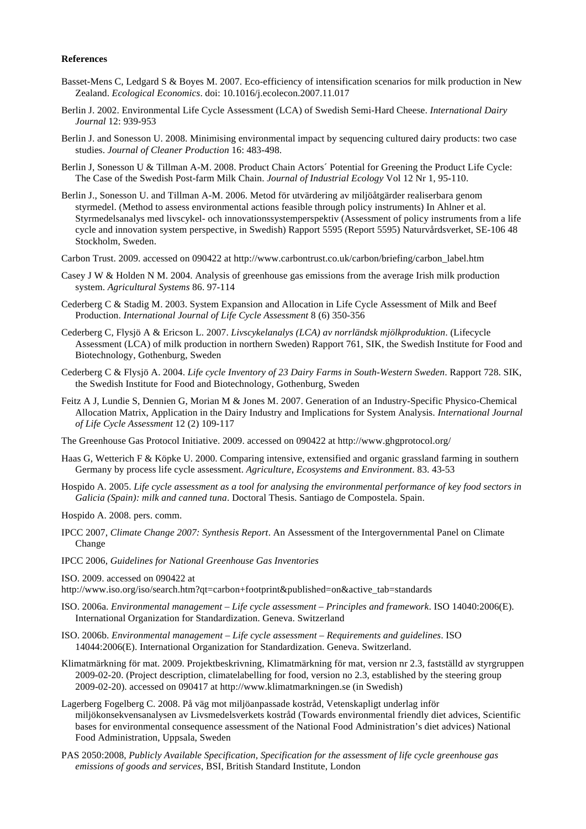# **References**

- Basset-Mens C, Ledgard S & Boyes M. 2007. Eco-efficiency of intensification scenarios for milk production in New Zealand. *Ecological Economics*. doi: 10.1016/j.ecolecon.2007.11.017
- Berlin J. 2002. Environmental Life Cycle Assessment (LCA) of Swedish Semi-Hard Cheese. *International Dairy Journal* 12: 939-953
- Berlin J. and Sonesson U. 2008. Minimising environmental impact by sequencing cultured dairy products: two case studies. *Journal of Cleaner Production* 16: 483-498.
- Berlin J, Sonesson U & Tillman A-M. 2008. Product Chain Actors´ Potential for Greening the Product Life Cycle: The Case of the Swedish Post-farm Milk Chain. *Journal of Industrial Ecology* Vol 12 Nr 1, 95-110.
- Berlin J., Sonesson U. and Tillman A-M. 2006. Metod för utvärdering av miljöåtgärder realiserbara genom styrmedel. (Method to assess environmental actions feasible through policy instruments) In Ahlner et al. Styrmedelsanalys med livscykel- och innovationssystemperspektiv (Assessment of policy instruments from a life cycle and innovation system perspective, in Swedish) Rapport 5595 (Report 5595) Naturvårdsverket, SE-106 48 Stockholm, Sweden.
- Carbon Trust. 2009. accessed on 090422 at http://www.carbontrust.co.uk/carbon/briefing/carbon\_label.htm
- Casey J W & Holden N M. 2004. Analysis of greenhouse gas emissions from the average Irish milk production system. *Agricultural Systems* 86. 97-114
- Cederberg C & Stadig M. 2003. System Expansion and Allocation in Life Cycle Assessment of Milk and Beef Production. *International Journal of Life Cycle Assessment* 8 (6) 350-356
- Cederberg C, Flysjö A & Ericson L. 2007. *Livscykelanalys (LCA) av norrländsk mjölkproduktion*. (Lifecycle Assessment (LCA) of milk production in northern Sweden) Rapport 761, SIK, the Swedish Institute for Food and Biotechnology, Gothenburg, Sweden
- Cederberg C & Flysjö A. 2004. *Life cycle Inventory of 23 Dairy Farms in South-Western Sweden*. Rapport 728. SIK, the Swedish Institute for Food and Biotechnology, Gothenburg, Sweden
- Feitz A J, Lundie S, Dennien G, Morian M & Jones M. 2007. Generation of an Industry-Specific Physico-Chemical Allocation Matrix, Application in the Dairy Industry and Implications for System Analysis. *International Journal of Life Cycle Assessment* 12 (2) 109-117
- The Greenhouse Gas Protocol Initiative. 2009. accessed on 090422 at http://www.ghgprotocol.org/
- Haas G, Wetterich F & Köpke U. 2000. Comparing intensive, extensified and organic grassland farming in southern Germany by process life cycle assessment. *Agriculture, Ecosystems and Environment*. 83. 43-53
- Hospido A. 2005. *Life cycle assessment as a tool for analysing the environmental performance of key food sectors in Galicia (Spain): milk and canned tuna*. Doctoral Thesis. Santiago de Compostela. Spain.
- Hospido A. 2008. pers. comm.
- IPCC 2007, *Climate Change 2007: Synthesis Report*. An Assessment of the Intergovernmental Panel on Climate Change
- IPCC 2006, *Guidelines for National Greenhouse Gas Inventories*
- ISO. 2009. accessed on 090422 at

http://www.iso.org/iso/search.htm?qt=carbon+footprint&published=on&active\_tab=standards

- ISO. 2006a. *Environmental management Life cycle assessment Principles and framework*. ISO 14040:2006(E). International Organization for Standardization. Geneva. Switzerland
- ISO. 2006b. *Environmental management Life cycle assessment Requirements and guidelines*. ISO 14044:2006(E). International Organization for Standardization. Geneva. Switzerland.
- Klimatmärkning för mat. 2009. Projektbeskrivning, Klimatmärkning för mat, version nr 2.3, fastställd av styrgruppen 2009-02-20. (Project description, climatelabelling for food, version no 2.3, established by the steering group 2009-02-20). accessed on 090417 at http://www.klimatmarkningen.se (in Swedish)
- Lagerberg Fogelberg C. 2008. På väg mot miljöanpassade kostråd, Vetenskapligt underlag inför miljökonsekvensanalysen av Livsmedelsverkets kostråd (Towards environmental friendly diet advices, Scientific bases for environmental consequence assessment of the National Food Administration's diet advices) National Food Administration, Uppsala, Sweden
- PAS 2050:2008, *Publicly Available Specification, Specification for the assessment of life cycle greenhouse gas emissions of goods and services*, BSI, British Standard Institute, London